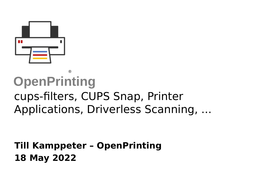

### **OpenPrinting** ® cups-filters, CUPS Snap, Printer Applications, Driverless Scanning, ...

#### **Till Kamppeter – OpenPrinting 18 May 2022**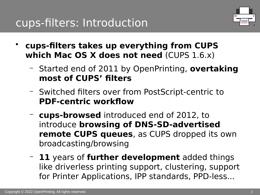

- **cups-filters takes up everything from CUPS which Mac OS X does not need** (CUPS 1.6.x)
	- Started end of 2011 by OpenPrinting, **overtaking most of CUPS' filters**
	- Switched filters over from PostScript-centric to **PDF-centric workflow**
	- **cups-browsed** introduced end of 2012, to introduce **browsing of DNS-SD-advertised remote CUPS queues**, as CUPS dropped its own broadcasting/browsing
	- **11** years of **further development** added things like driverless printing support, clustering, support for Printer Applications, IPP standards, PPD-less...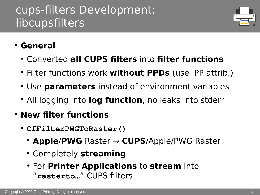

#### ● **General**

- Converted **all CUPS filters** into **filter functions**
- Filter functions work **without PPDs** (use IPP attrib.)
- Use **parameters** instead of environment variables
- All logging into log function, no leaks into stderr
- **New filter functions**
	- **CfFilterPWGToRaster()**
		- **Apple**/**PWG** Raster → **CUPS**/Apple/PWG Raster
		- **Completely streaming**
		- For **Printer Applications** to **stream** into "**rasterto…**" CUPS filters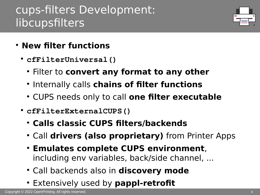

- **New filter functions**
	- **cfFilterUniversal()**
		- **Filter to convert any format to any other**
		- **Internally calls chains of filter functions**
		- CUPS needs only to call **one filter executable**
	- **cfFilterExternalCUPS()**
		- **Calls classic CUPS filters/backends**
		- Call **drivers (also proprietary)** from Printer Apps
		- **Emulates complete CUPS environment**, including env variables, back/side channel, ...
		- Call backends also in **discovery mode**
		- Extensively used by **pappl-retrofit**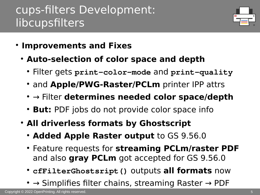

- **Improvements and Fixes** 
	- **Auto-selection of color space and depth**
		- Filter gets **print-color-mode** and **print-quality**
		- and **Apple/PWG-Raster/PCLm** printer IPP attrs
		- → Filter determines needed color space/depth
		- **But:** PDF jobs do not provide color space info
	- **All driverless formats by Ghostscript** 
		- **Added Apple Raster output** to GS 9.56.0
		- Feature requests for **streaming PCLm/raster PDF** and also **gray PCLm** got accepted for GS 9.56.0
		- **cfFilterGhostsript()** outputs **all formats** now
		- $\bullet \rightarrow$  Simplifies filter chains, streaming Raster  $\rightarrow$  PDF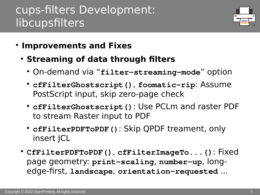

- **Improvements and Fixes** 
	- **Streaming of data through filters**
		- On-demand via "**filter-streaming-mode**" option
		- **cfFilterGhostscript()**, **foomatic-rip**: Assume PostScript input, skip zero-page check
		- **cfFilterGhostscript()**: Use PCLm and raster PDF to stream Raster input to PDF
		- **cfFilterPDFToPDF()**: Skip QPDF treament, only insert JCL
	- **CfFilterPDFToPDF()**, **cfFilterImageTo...()**: Fixed page geometry: **print-scaling**, **number-up**, longedge-first, **landscape**, **orientation-requested** ...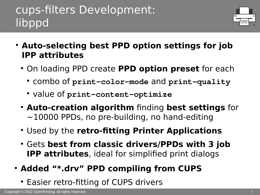# cups-filters Development: libppd



- **Auto-selecting best PPD option settings for job IPP attributes**
	- On loading PPD create **PPD option preset** for each
		- combo of **print-color-mode** and **print-quality**
		- value of **print-content-optimize**
	- **Auto-creation algorithm** finding **best settings** for  $\sim$ 10000 PPDs, no pre-building, no hand-editing
	- Used by the **retro-fitting Printer Applications**
	- Gets **best from classic drivers/PPDs with 3 job IPP attributes**, ideal for simplified print dialogs
- **Added "\*.drv" PPD compiling from CUPS**
	- Easier retro-fitting of CUPS drivers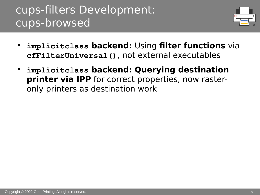# cups-filters Development: cups-browsed



- **implicitclass backend:** Using **filter functions** via **cfFilterUniversal()**, not external executables
- **implicitclass backend: Querying destination printer via IPP** for correct properties, now rasteronly printers as destination work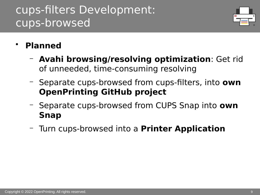# cups-filters Development: cups-browsed



- **Planned**
	- **Avahi browsing/resolving optimization**: Get rid of unneeded, time-consuming resolving
	- Separate cups-browsed from cups-filters, into **own OpenPrinting GitHub project**
	- Separate cups-browsed from CUPS Snap into **own Snap**
	- Turn cups-browsed into a **Printer Application**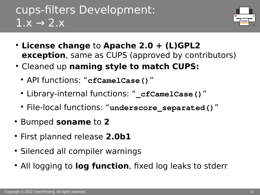# cups-filters Development:  $1.x \rightarrow 2.x$



- **License change** to **Apache 2.0 + (L)GPL2 exception**, same as CUPS (approved by contributors)
- **Cleaned up naming style to match CUPS:** 
	- API functions: "**cfCamelCase()**"
	- Library-internal functions: "**\_cfCamelCase()**"
	- File-local functions: "**underscore\_separated()**"
- Bumped **soname** to **2**
- First planned release 2.0b1
- Silenced all compiler warnings
- All logging to **log function**, fixed log leaks to stderr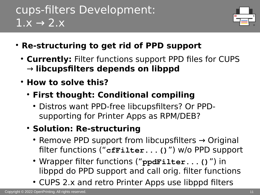# cups-filters Development:  $1.x \rightarrow 2.x$



- **Re-structuring to get rid of PPD support**
	- Currently: Filter functions support PPD files for CUPS → **libcupsfilters depends on libppd**
	- **How to solve this?**
		- **First thought: Conditional compiling**
			- Distros want PPD-free libcupsfilters? Or PPDsupporting for Printer Apps as RPM/DEB?
		- **Solution: Re-structuring**
			- Remove PPD support from libcupsfilters  $\rightarrow$  Original filter functions ("**cfFilter...()**") w/o PPD support
			- Wrapper filter functions ("**ppdFilter...()**") in libppd do PPD support and call orig. filter functions
			- CUPS 2.x and retro Printer Apps use libppd filters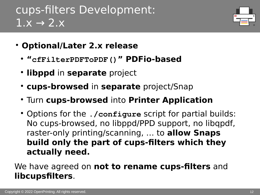# cups-filters Development:  $1.x \rightarrow 2.x$



- **Optional/Later 2.x release**
	- **"cfFilterPDFToPDF()" PDFio-based**
	- **libppd** in **separate** project
	- **cups-browsed** in **separate** project/Snap
	- Turn **cups-browsed** into **Printer Application**
	- Options for the *./configure* script for partial builds: No cups-browsed, no libppd/PPD support, no libqpdf, raster-only printing/scanning, … to **allow Snaps build only the part of cups-filters which they actually need.**

#### We have agreed on **not to rename cups-filters** and **libcupsfilters**.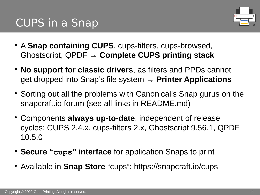

- A **Snap containing CUPS**, cups-filters, cups-browsed, Ghostscript, QPDF → **Complete CUPS printing stack**
- **No support for classic drivers**, as filters and PPDs cannot get dropped into Snap's file system → **Printer Applications**
- Sorting out all the problems with Canonical's Snap gurus on the snapcraft.io forum (see all links in README.md)
- Components **always up-to-date**, independent of release cycles: CUPS 2.4.x, cups-filters 2.x, Ghostscript 9.56.1, QPDF 10.5.0
- **Secure "cups" interface** for application Snaps to print
- Available in **Snap Store** "cups": https://snapcraft.io/cups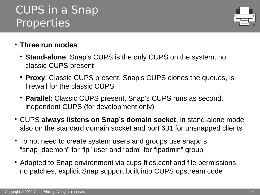#### Copyright © 2022 OpenPrinting. All rights reserved.

## CUPS in a Snap Properties

- **Three run modes**:
	- **Stand-alone**: Snap's CUPS is the only CUPS on the system, no classic CUPS present
	- **Proxy**: Classic CUPS present, Snap's CUPS clones the queues, is firewall for the classic CUPS
	- **Parallel**: Classic CUPS present, Snap's CUPS runs as second, indpendent CUPS (for development only)
- CUPS always listens on Snap's domain socket, in stand-alone mode also on the standard domain socket and port 631 for unsnapped clients
- To not need to create system users and groups use snapd's "snap daemon" for "lp" user and "adm" for "lpadmin" group
- Adapted to Snap environment via cups-files.conf and file permissions, no patches, explicit Snap support built into CUPS upstream code

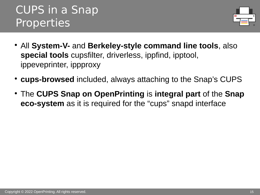# CUPS in a Snap Properties



- All **System-V-** and **Berkeley-style command line tools**, also **special tools** cupsfilter, driverless, ippfind, ipptool, ippeveprinter, ippproxy
- **cups-browsed** included, always attaching to the Snap's CUPS
- The **CUPS Snap on OpenPrinting** is **integral part** of the **Snap eco-system** as it is required for the "cups" snapd interface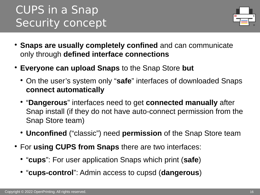# CUPS in a Snap Security concept



- **Snaps are usually completely confined** and can communicate only through **defined interface connections**
- **Everyone can upload Snaps** to the Snap Store **but**
	- On the user's system only "safe" interfaces of downloaded Snaps **connect automatically**
	- **"Dangerous**" interfaces need to get **connected manually** after Snap install (if they do not have auto-connect permission from the Snap Store team)
	- **Unconfined** ("classic") need **permission** of the Snap Store team
- For **using CUPS from Snaps** there are two interfaces:
	- "**cups**": For user application Snaps which print (**safe**)
	- "**cups-control**": Admin access to cupsd (**dangerous**)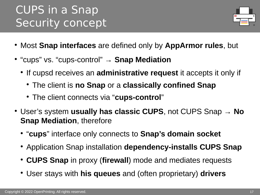# CUPS in a Snap Security concept



- Most **Snap interfaces** are defined only by **AppArmor rules**, but
- **"cups" vs. "cups-control" → Snap Mediation** 
	- **If cupsd receives an administrative request** it accepts it only if
		- The client is **no Snap** or a **classically confined Snap**
		- The client connects via "**cups-control**"
- User's system **usually has classic CUPS**, not CUPS Snap → **No Snap Mediation**, therefore
	- "**cups**" interface only connects to **Snap's domain socket**
	- Application Snap installation **dependency-installs CUPS Snap**
	- **CUPS Snap** in proxy (**firewall**) mode and mediates requests
	- User stays with **his queues** and (often proprietary) **drivers**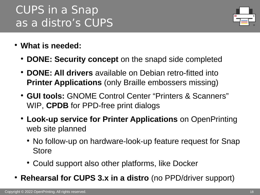# CUPS in a Snap as a distro's CUPS



- **What is needed:**
	- **DONE: Security concept** on the snapd side completed
	- **DONE: All drivers** available on Debian retro-fitted into **Printer Applications** (only Braille embossers missing)
	- **GUI tools:** GNOME Control Center "Printers & Scanners" WIP, **CPDB** for PPD-free print dialogs
	- **Look-up service for Printer Applications** on OpenPrinting web site planned
		- No follow-up on hardware-look-up feature request for Snap Store
		- Could support also other platforms, like Docker
- **Rehearsal for CUPS 3.x in a distro** (no PPD/driver support)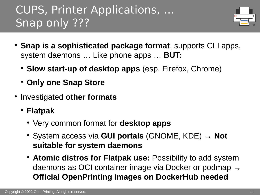# CUPS, Printer Applications, … Snap only ???



- **Snap is a sophisticated package format**, supports CLI apps, system daemons … Like phone apps … **BUT:**
	- **Slow start-up of desktop apps** (esp. Firefox, Chrome)
	- **Only one Snap Store**
- **Investigated other formats** 
	- **Flatpak**
		- Very common format for **desktop apps**
		- System access via **GUI portals** (GNOME, KDE) → **Not suitable for system daemons**
		- **Atomic distros for Flatpak use:** Possibility to add system daemons as OCI container image via Docker or podmap  $\rightarrow$ **Official OpenPrinting images on DockerHub needed**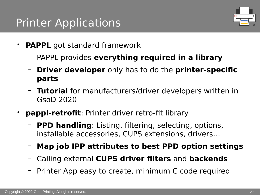# Printer Applications



- **PAPPL** got standard framework
	- PAPPL provides **everything required in a library**
	- **Driver developer** only has to do the **printer-specific parts**
	- **Tutorial** for manufacturers/driver developers written in GsoD 2020
- **pappl-retrofit**: Printer driver retro-fit library
	- **PPD handling**: Listing, filtering, selecting, options, installable accessories, CUPS extensions, drivers…
	- **Map job IPP attributes to best PPD option settings**
	- Calling external **CUPS driver filters** and **backends**
	- Printer App easy to create, minimum C code required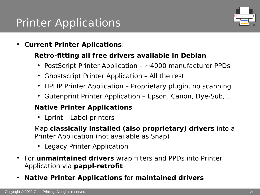# Printer Applications



- **Current Printer Aplications**:
	- **Retro-fitting all free drivers available in Debian**
		- PostScript Printer Application  $\sim$  4000 manufacturer PPDs
		- Ghostscript Printer Application All the rest
		- HPLIP Printer Application Proprietary plugin, no scanning
		- Gutenprint Printer Application Epson, Canon, Dye-Sub, ...
	- **Native Printer Applications**
		- Lprint Label printers
	- Map **classically installed (also proprietary) drivers** into a Printer Application (not available as Snap)
		- Legacy Printer Application
- For **unmaintained drivers** wrap filters and PPDs into Printer Application via **pappl-retrofit**
- **Native Printer Applications** for **maintained drivers**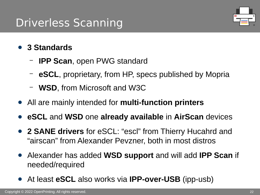# Driverless Scanning



- **3 Standards**
	- **IPP Scan**, open PWG standard
	- **eSCL**, proprietary, from HP, specs published by Mopria
	- **WSD**, from Microsoft and W3C
- All are mainly intended for **multi-function printers**
- **eSCL** and **WSD** one **already available** in **AirScan** devices
- **2 SANE drivers** for eSCL: "escl" from Thierry Hucahrd and "airscan" from Alexander Pevzner, both in most distros
- Alexander has added **WSD support** and will add **IPP Scan** if needed/required
- At least **eSCL** also works via **IPP-over-USB** (ipp-usb)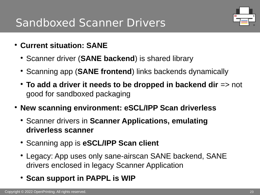# Sandboxed Scanner Drivers



- **Current situation: SANE**
	- Scanner driver (**SANE backend**) is shared library
	- Scanning app (**SANE frontend**) links backends dynamically
	- **To add a driver it needs to be dropped in backend dir** => not good for sandboxed packaging
- **New scanning environment: eSCL/IPP Scan driverless**
	- **Scanner drivers in Scanner Applications, emulating driverless scanner**
	- Scanning app is **eSCL/IPP Scan client**
	- Legacy: App uses only sane-airscan SANE backend, SANE drivers enclosed in legacy Scanner Application
	- **Scan support in PAPPL is WIP**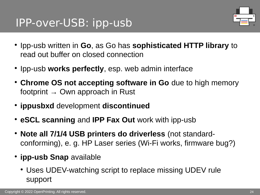## IPP-over-USB: ipp-usb



- **Ipp-usb written in Go, as Go has sophisticated HTTP library to** read out buffer on closed connection
- Ipp-usb works perfectly, esp. web admin interface
- **Chrome OS not accepting software in Go** due to high memory footprint  $\rightarrow$  Own approach in Rust
- **ippusbxd** development **discontinued**
- **eSCL scanning** and **IPP Fax Out** work with ipp-usb
- **Note all 7/1/4 USB printers do driverless** (not standardconforming), e. g. HP Laser series (Wi-Fi works, firmware bug?)
- **ipp-usb Snap** available
	- Uses UDEV-watching script to replace missing UDEV rule support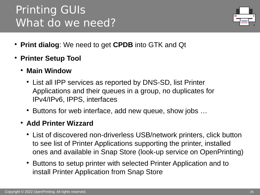# Printing GUIs What do we need?



- **Print dialog**: We need to get **CPDB** into GTK and Qt
- **Printer Setup Tool**
	- **Main Window**
		- List all IPP services as reported by DNS-SD, list Printer Applications and their queues in a group, no duplicates for IPv4/IPv6, IPPS, interfaces
		- Buttons for web interface, add new queue, show jobs ...
	- **Add Printer Wizzard**
		- List of discovered non-driverless USB/network printers, click button to see list of Printer Applications supporting the printer, installed ones and available in Snap Store (look-up service on OpenPrinting)
		- Buttons to setup printer with selected Printer Application and to install Printer Application from Snap Store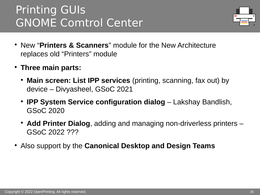# Printing GUIs GNOME Comtrol Center



- New "**Printers & Scanners**" module for the New Architecture replaces old "Printers" module
- **Three main parts:**
	- **Main screen: List IPP services** (printing, scanning, fax out) by device – Divyasheel, GSoC 2021
	- **IPP System Service configuration dialog** Lakshay Bandlish, GSoC 2020
	- Add Printer Dialog, adding and managing non-driverless printers GSoC 2022 ???
- Also support by the **Canonical Desktop and Design Teams**